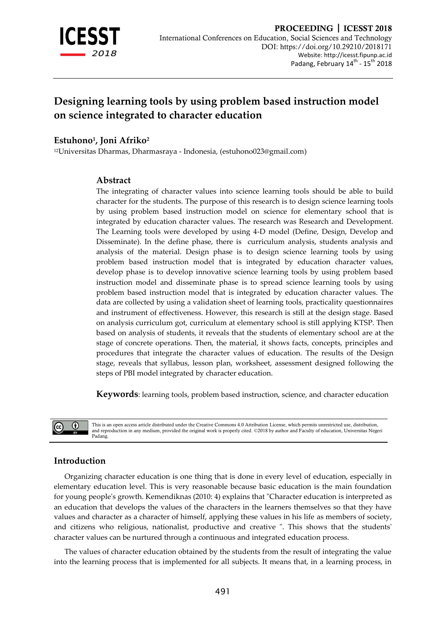

# **Designing learning tools by using problem based instruction model on science integrated to character education**

# **Estuhono<sup>1</sup> , Joni Afriko<sup>2</sup>**

<sup>12</sup>Universitas Dharmas, Dharmasraya - Indonesia, (estuhono023@gmail.com)

## **Abstract**

The integrating of character values into science learning tools should be able to build character for the students. The purpose of this research is to design science learning tools by using problem based instruction model on science for elementary school that is integrated by education character values. The research was Research and Development. The Learning tools were developed by using 4-D model (Define, Design, Develop and Disseminate). In the define phase, there is curriculum analysis, students analysis and analysis of the material. Design phase is to design science learning tools by using problem based instruction model that is integrated by education character values, develop phase is to develop innovative science learning tools by using problem based instruction model and disseminate phase is to spread science learning tools by using problem based instruction model that is integrated by education character values. The data are collected by using a validation sheet of learning tools, practicality questionnaires and instrument of effectiveness. However, this research is still at the design stage. Based on analysis curriculum got, curriculum at elementary school is still applying KTSP. Then based on analysis of students, it reveals that the students of elementary school are at the stage of concrete operations. Then, the material, it shows facts, concepts, principles and procedures that integrate the character values of education. The results of the Design stage, reveals that syllabus, lesson plan, worksheet, assessment designed following the steps of PBI model integrated by character education.

**Keywords**: learning tools, problem based instruction, science, and character education



This is an open access article distributed under the Creative Commons 4.0 Attribution License, which permits unrestricted use, distribution and reproduction in any medium, provided the original work is properly cited. ©2018 by author and Faculty of education, Universitas Negeri Padang.

# **Introduction**

Organizing character education is one thing that is done in every level of education, especially in elementary education level. This is very reasonable because basic education is the main foundation for young people's growth. Kemendiknas (2010: 4) explains that "Character education is interpreted as an education that develops the values of the characters in the learners themselves so that they have values and character as a character of himself, applying these values in his life as members of society, and citizens who religious, nationalist, productive and creative ". This shows that the students' character values can be nurtured through a continuous and integrated education process.

The values of character education obtained by the students from the result of integrating the value into the learning process that is implemented for all subjects. It means that, in a learning process, in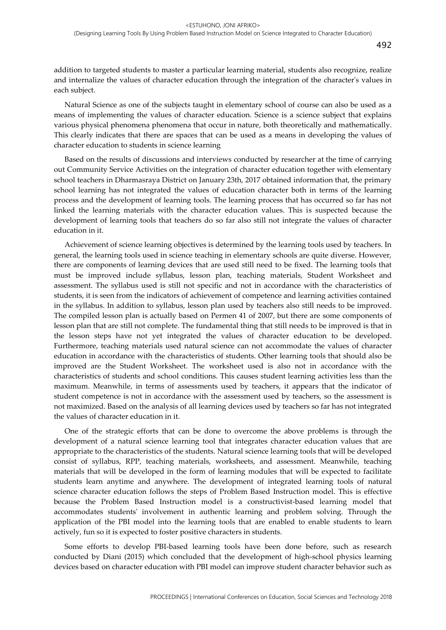addition to targeted students to master a particular learning material, students also recognize, realize and internalize the values of character education through the integration of the character's values in each subject.

Natural Science as one of the subjects taught in elementary school of course can also be used as a means of implementing the values of character education. Science is a science subject that explains various physical phenomena phenomena that occur in nature, both theoretically and mathematically. This clearly indicates that there are spaces that can be used as a means in developing the values of character education to students in science learning

Based on the results of discussions and interviews conducted by researcher at the time of carrying out Community Service Activities on the integration of character education together with elementary school teachers in Dharmasraya District on January 23th, 2017 obtained information that, the primary school learning has not integrated the values of education character both in terms of the learning process and the development of learning tools. The learning process that has occurred so far has not linked the learning materials with the character education values. This is suspected because the development of learning tools that teachers do so far also still not integrate the values of character education in it.

Achievement of science learning objectives is determined by the learning tools used by teachers. In general, the learning tools used in science teaching in elementary schools are quite diverse. However, there are components of learning devices that are used still need to be fixed. The learning tools that must be improved include syllabus, lesson plan, teaching materials, Student Worksheet and assessment. The syllabus used is still not specific and not in accordance with the characteristics of students, it is seen from the indicators of achievement of competence and learning activities contained in the syllabus. In addition to syllabus, lesson plan used by teachers also still needs to be improved. The compiled lesson plan is actually based on Permen 41 of 2007, but there are some components of lesson plan that are still not complete. The fundamental thing that still needs to be improved is that in the lesson steps have not yet integrated the values of character education to be developed. Furthermore, teaching materials used natural science can not accommodate the values of character education in accordance with the characteristics of students. Other learning tools that should also be improved are the Student Worksheet. The worksheet used is also not in accordance with the characteristics of students and school conditions. This causes student learning activities less than the maximum. Meanwhile, in terms of assessments used by teachers, it appears that the indicator of student competence is not in accordance with the assessment used by teachers, so the assessment is not maximized. Based on the analysis of all learning devices used by teachers so far has not integrated the values of character education in it.

One of the strategic efforts that can be done to overcome the above problems is through the development of a natural science learning tool that integrates character education values that are appropriate to the characteristics of the students. Natural science learning tools that will be developed consist of syllabus, RPP, teaching materials, worksheets, and assessment. Meanwhile, teaching materials that will be developed in the form of learning modules that will be expected to facilitate students learn anytime and anywhere. The development of integrated learning tools of natural science character education follows the steps of Problem Based Instruction model. This is effective because the Problem Based Instruction model is a constructivist-based learning model that accommodates students' involvement in authentic learning and problem solving. Through the application of the PBI model into the learning tools that are enabled to enable students to learn actively, fun so it is expected to foster positive characters in students.

Some efforts to develop PBI-based learning tools have been done before, such as research conducted by Diani (2015) which concluded that the development of high-school physics learning devices based on character education with PBI model can improve student character behavior such as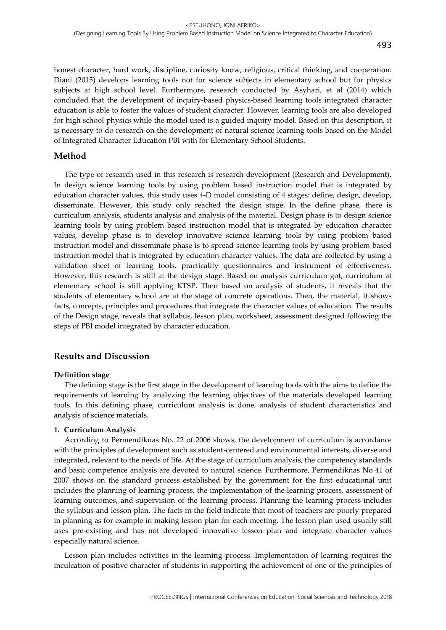honest character, hard work, discipline, curiosity know, religious, critical thinking, and cooperation. Diani (2015) develops learning tools not for science subjects in elementary school but for physics subjects at high school level. Furthermore, research conducted by Asyhari, et al (2014) which concluded that the development of inquiry-based physics-based learning tools integrated character education is able to foster the values of student character. However, learning tools are also developed for high school physics while the model used is a guided inquiry model. Based on this description, it is necessary to do research on the development of natural science learning tools based on the Model of Integrated Character Education PBI with for Elementary School Students.

## **Method**

The type of research used in this research is research development (Research and Development). In design science learning tools by using problem based instruction model that is integrated by education character values, this study uses 4-D model consisting of 4 stages: define, design, develop, disseminate. However, this study only reached the design stage. In the define phase, there is curriculum analysis, students analysis and analysis of the material. Design phase is to design science learning tools by using problem based instruction model that is integrated by education character values, develop phase is to develop innovative science learning tools by using problem based instruction model and disseminate phase is to spread science learning tools by using problem based instruction model that is integrated by education character values. The data are collected by using a validation sheet of learning tools, practicality questionnaires and instrument of effectiveness. However, this research is still at the design stage. Based on analysis curriculum got, curriculum at elementary school is still applying KTSP. Then based on analysis of students, it reveals that the students of elementary school are at the stage of concrete operations. Then, the material, it shows facts, concepts, principles and procedures that integrate the character values of education. The results of the Design stage, reveals that syllabus, lesson plan, worksheet, assessment designed following the steps of PBI model integrated by character education.

## **Results and Discussion**

#### **Definition stage**

The defining stage is the first stage in the development of learning tools with the aims to define the requirements of learning by analyzing the learning objectives of the materials developed learning tools. In this defining phase, curriculum analysis is done, analysis of student characteristics and analysis of science materials.

#### **1. Curriculum Analysis**

According to Permendiknas No. 22 of 2006 shows, the development of curriculum is accordance with the principles of development such as student-centered and environmental interests, diverse and integrated, relevant to the needs of life. At the stage of curriculum analysis, the competency standards and basic competence analysis are devoted to natural science. Furthermore, Permendiknas No 41 of 2007 shows on the standard process established by the government for the first educational unit includes the planning of learning process, the implementation of the learning process, assessment of learning outcomes, and supervision of the learning process. Planning the learning process includes the syllabus and lesson plan. The facts in the field indicate that most of teachers are poorly prepared in planning as for example in making lesson plan for each meeting. The lesson plan used usually still uses pre-existing and has not developed innovative lesson plan and integrate character values especially natural science.

Lesson plan includes activities in the learning process. Implementation of learning requires the inculcation of positive character of students in supporting the achievement of one of the principles of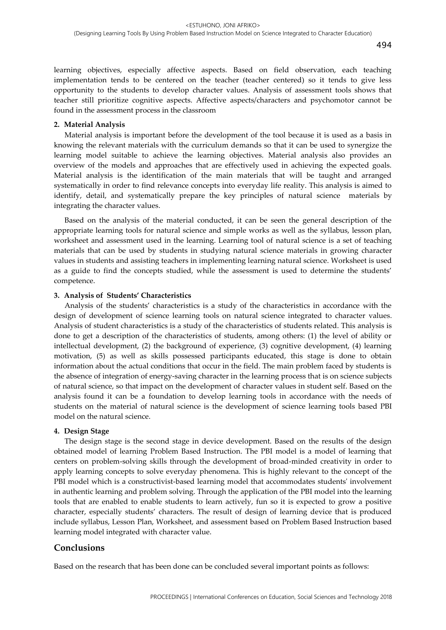learning objectives, especially affective aspects. Based on field observation, each teaching implementation tends to be centered on the teacher (teacher centered) so it tends to give less opportunity to the students to develop character values. Analysis of assessment tools shows that teacher still prioritize cognitive aspects. Affective aspects/characters and psychomotor cannot be found in the assessment process in the classroom

#### **2. Material Analysis**

Material analysis is important before the development of the tool because it is used as a basis in knowing the relevant materials with the curriculum demands so that it can be used to synergize the learning model suitable to achieve the learning objectives. Material analysis also provides an overview of the models and approaches that are effectively used in achieving the expected goals. Material analysis is the identification of the main materials that will be taught and arranged systematically in order to find relevance concepts into everyday life reality. This analysis is aimed to identify, detail, and systematically prepare the key principles of natural science materials by integrating the character values.

Based on the analysis of the material conducted, it can be seen the general description of the appropriate learning tools for natural science and simple works as well as the syllabus, lesson plan, worksheet and assessment used in the learning. Learning tool of natural science is a set of teaching materials that can be used by students in studying natural science materials in growing character values in students and assisting teachers in implementing learning natural science. Worksheet is used as a guide to find the concepts studied, while the assessment is used to determine the students' competence.

#### **3. Analysis of Students' Characteristics**

Analysis of the students' characteristics is a study of the characteristics in accordance with the design of development of science learning tools on natural science integrated to character values. Analysis of student characteristics is a study of the characteristics of students related. This analysis is done to get a description of the characteristics of students, among others: (1) the level of ability or intellectual development, (2) the background of experience, (3) cognitive development, (4) learning motivation, (5) as well as skills possessed participants educated, this stage is done to obtain information about the actual conditions that occur in the field. The main problem faced by students is the absence of integration of energy-saving character in the learning process that is on science subjects of natural science, so that impact on the development of character values in student self. Based on the analysis found it can be a foundation to develop learning tools in accordance with the needs of students on the material of natural science is the development of science learning tools based PBI model on the natural science.

#### **4. Design Stage**

The design stage is the second stage in device development. Based on the results of the design obtained model of learning Problem Based Instruction. The PBI model is a model of learning that centers on problem-solving skills through the development of broad-minded creativity in order to apply learning concepts to solve everyday phenomena. This is highly relevant to the concept of the PBI model which is a constructivist-based learning model that accommodates students' involvement in authentic learning and problem solving. Through the application of the PBI model into the learning tools that are enabled to enable students to learn actively, fun so it is expected to grow a positive character, especially students' characters. The result of design of learning device that is produced include syllabus, Lesson Plan, Worksheet, and assessment based on Problem Based Instruction based learning model integrated with character value.

## **Conclusions**

Based on the research that has been done can be concluded several important points as follows: